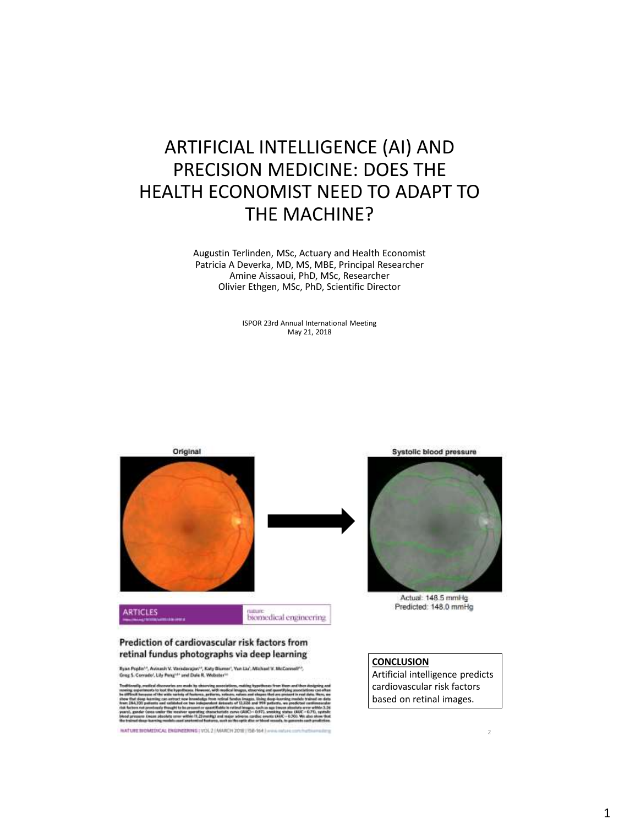### ARTIFICIAL INTELLIGENCE (AI) AND PRECISION MEDICINE: DOES THE HEALTH ECONOMIST NEED TO ADAPT TO THE MACHINE?

Augustin Terlinden, MSc, Actuary and Health Economist Patricia A Deverka, MD, MS, MBE, Principal Researcher Amine Aissaoui, PhD, MSc, Researcher Olivier Ethgen, MSc, PhD, Scientific Director

> ISPOR 23rd Annual International Meeting May 21, 2018



HATURE BIOMEDICAL ENGINEERING (VOL.2 | MAUCH 2018 | 158-164 ) -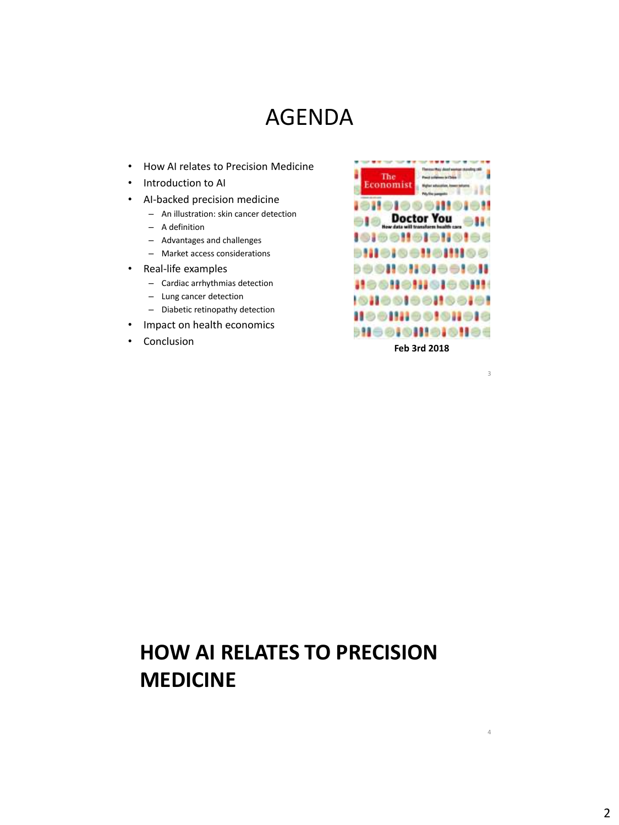### AGENDA

- How AI relates to Precision Medicine
- Introduction to AI
- AI-backed precision medicine
	- An illustration: skin cancer detection
	- A definition
	- Advantages and challenges
	- Market access considerations
- Real-life examples
	- Cardiac arrhythmias detection
	- Lung cancer detection
	- Diabetic retinopathy detection
- Impact on health economics
- 

The Economist 18116166811 **Doctor You NOSHOI** н. **IOIOONOINI** 800H8H8I00I8H **SCHONICIOSH** и **101001901100101 Heemossaneis** • Conclusion **Feb 3rd 2018** 

3

4

**HOW AI RELATES TO PRECISION MEDICINE**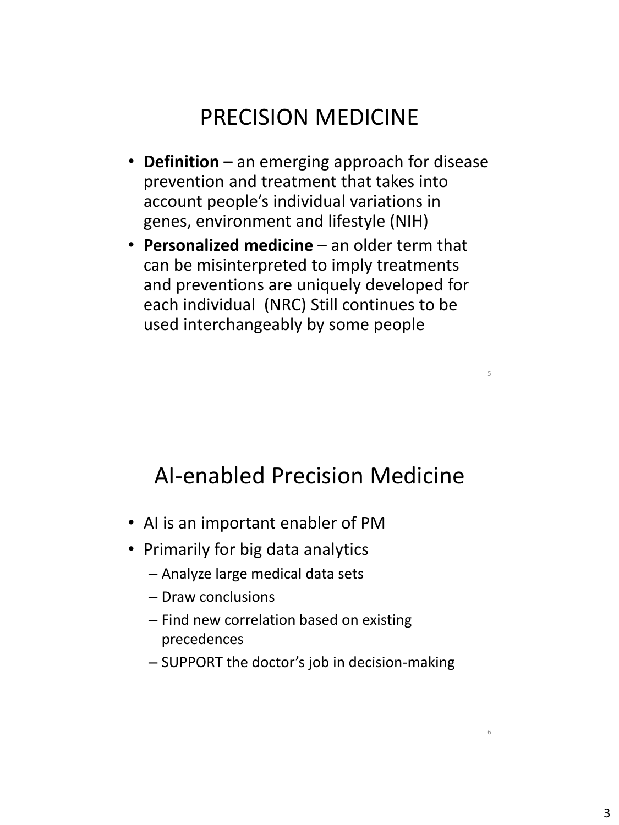# PRECISION MEDICINE

- **Definition** an emerging approach for disease prevention and treatment that takes into account people's individual variations in genes, environment and lifestyle (NIH)
- **Personalized medicine** an older term that can be misinterpreted to imply treatments and preventions are uniquely developed for each individual (NRC) Still continues to be used interchangeably by some people

### AI-enabled Precision Medicine

5

- AI is an important enabler of PM
- Primarily for big data analytics
	- Analyze large medical data sets
	- Draw conclusions
	- Find new correlation based on existing precedences
	- SUPPORT the doctor's job in decision-making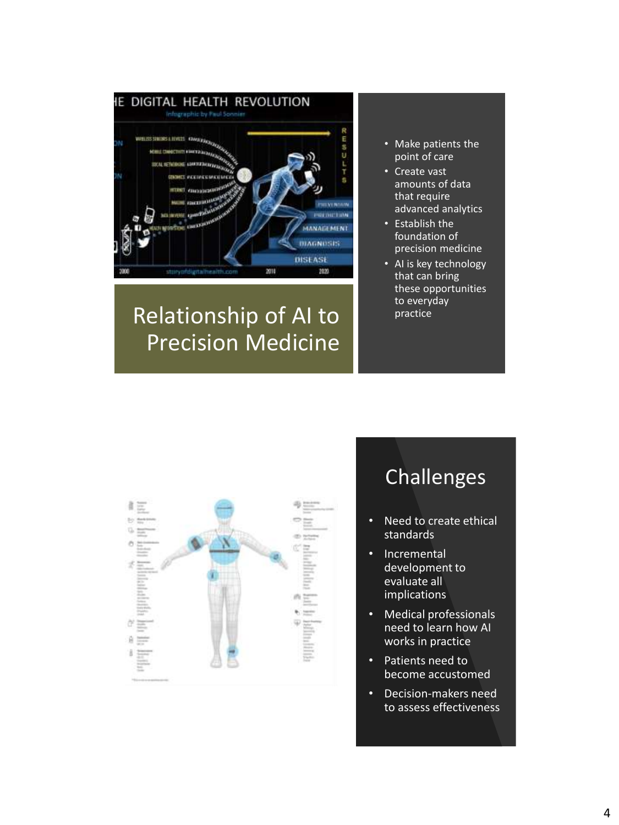

# Relationship of AI to Precision Medicine

- Make patients the point of care
- Create vast amounts of data that require advanced analytics
- Establish the foundation of precision medicine
- AI is key technology that can bring these opportunities to everyday practice



# Challenges

- Need to create ethical standards
- Incremental development to evaluate all implications
- Medical professionals need to learn how AI works in practice
- Patients need to become accustomed
- Decision-makers need to assess effectiveness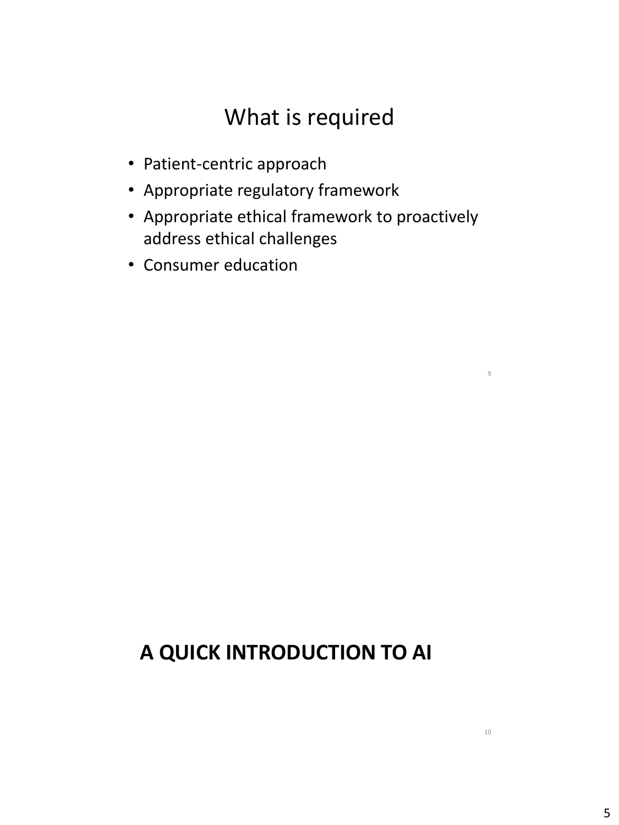# What is required

- Patient-centric approach
- Appropriate regulatory framework
- Appropriate ethical framework to proactively address ethical challenges
- Consumer education

### **A QUICK INTRODUCTION TO AI**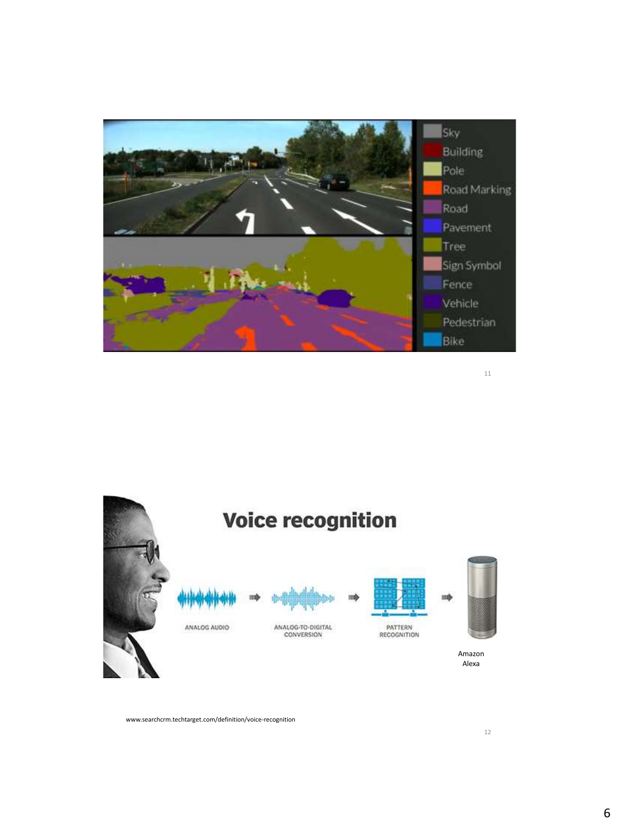

11



www.searchcrm.techtarget.com/definition/voice-recognition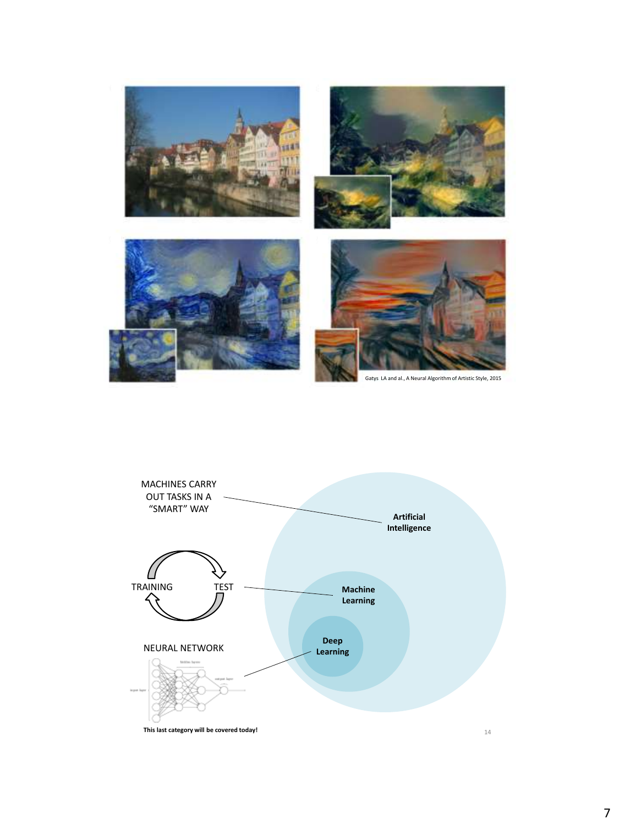

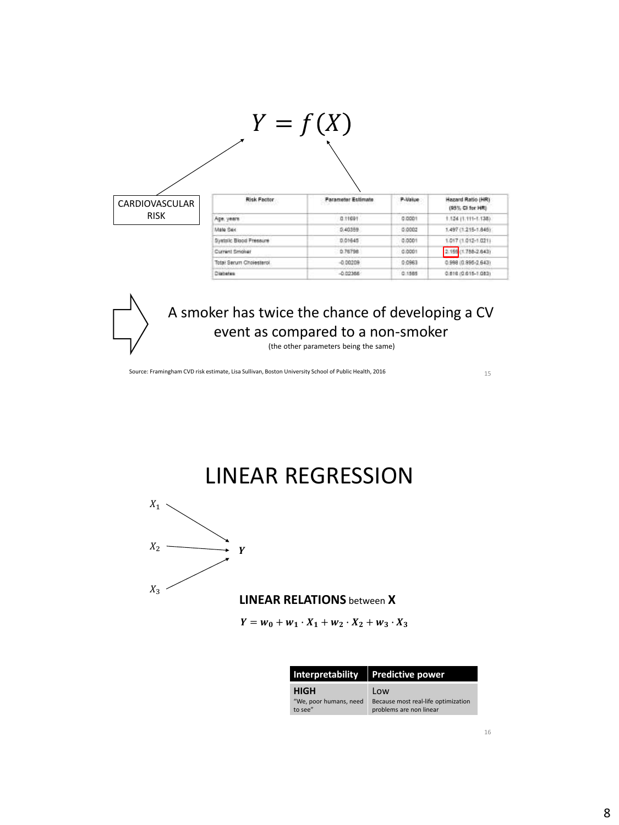

(the other parameters being the same)

Source: Framingham CVD risk estimate, Lisa Sullivan, Boston University School of Public Health, 2016

15



 $Y = w_0 + w_1 \cdot X_1 + w_2 \cdot X_2 + w_3 \cdot X_3$ 

|                                   | Interpretability   Predictive power                            |  |
|-----------------------------------|----------------------------------------------------------------|--|
| <b>HIGH</b>                       | Low                                                            |  |
| "We, poor humans, need<br>to see" | Because most real-life optimization<br>problems are non linear |  |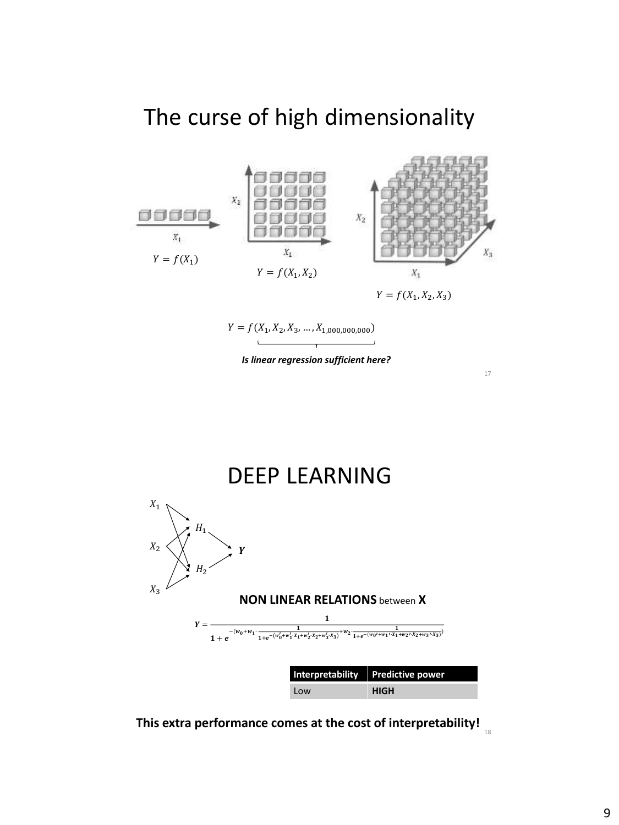### The curse of high dimensionality



$$
Y = f(X_1, X_2, X_3, \ldots, X_{1,000,000,000})
$$

*Is linear regression sufficient here?*



**This extra performance comes at the cost of interpretability!** 18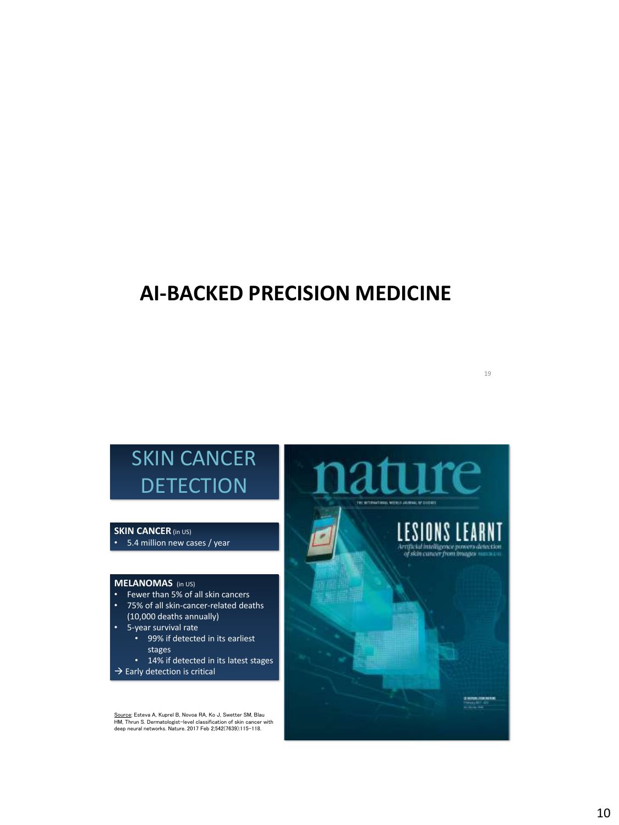### **AI-BACKED PRECISION MEDICINE**

#### **SKIN CANCER** (in US)

• 5.4 million new cases / year

#### **MELANOMAS** (in US)

- Fewer than 5% of all skin cancers
- 75% of all skin-cancer-related deaths (10,000 deaths annually)
- 5-year survival rate
	- 99% if detected in its earliest stages
	- 14% if detected in its latest stages
- $\rightarrow$  Early detection is critical

<u>Source</u>: Esteva A, Kuprel B, Novoa RA, Ko J, Swetter SM, Blau<br>HM, Thrun S. Dermatologist-level classification of skin cancer with<br>deep neural networks. Nature. 2017 Feb 2;542(7639):115–118.

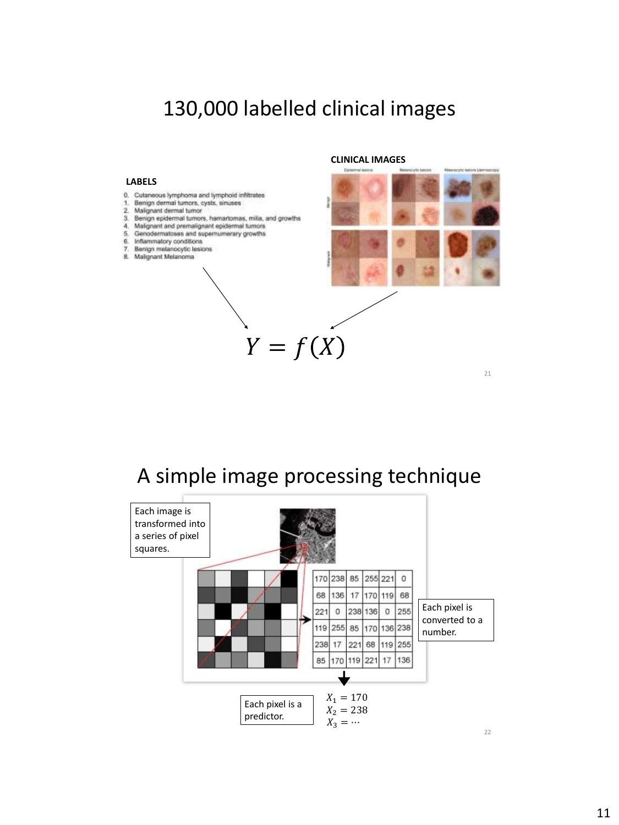### 130,000 labelled clinical images

#### **LABELS**

- 0. Cutaneous lymphoma and lymphoid infiltrates
- 1. Benign dermal tumors, cysts, sinuses
- 2. Malignant dermal tumor
- 3. Benign epidermal tumors, hamartomas, milia, and growths
- 4. Malignant and premalignant epidermal tumors 5. Genodermatases and supernumerary growths
- 6. Inflammatory conditions
- 7. Benign melanocytic lesions<br>8. Malignant Melanoma
- 

**CLINICAL IMAGES**



21

### A simple image processing technique

 $Y = f(X)$ 

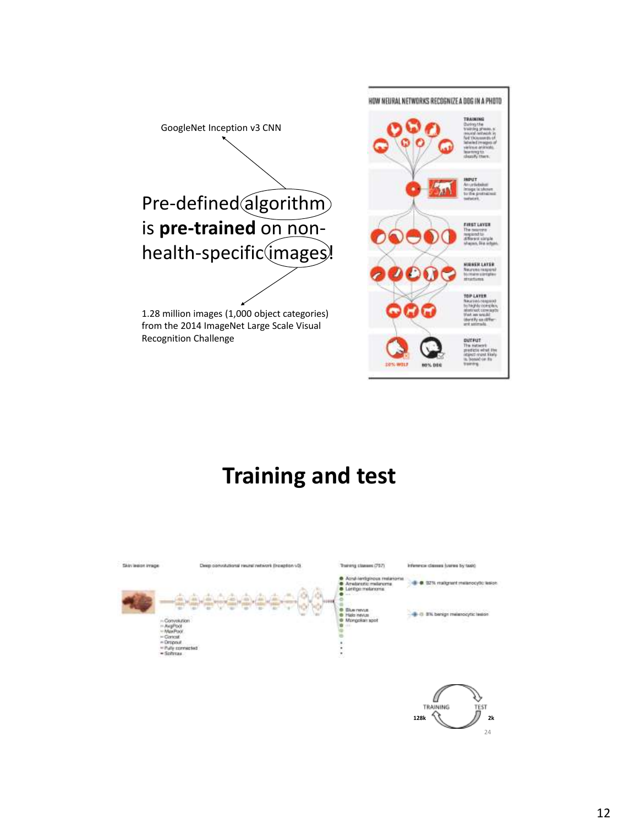

# **Training and test**

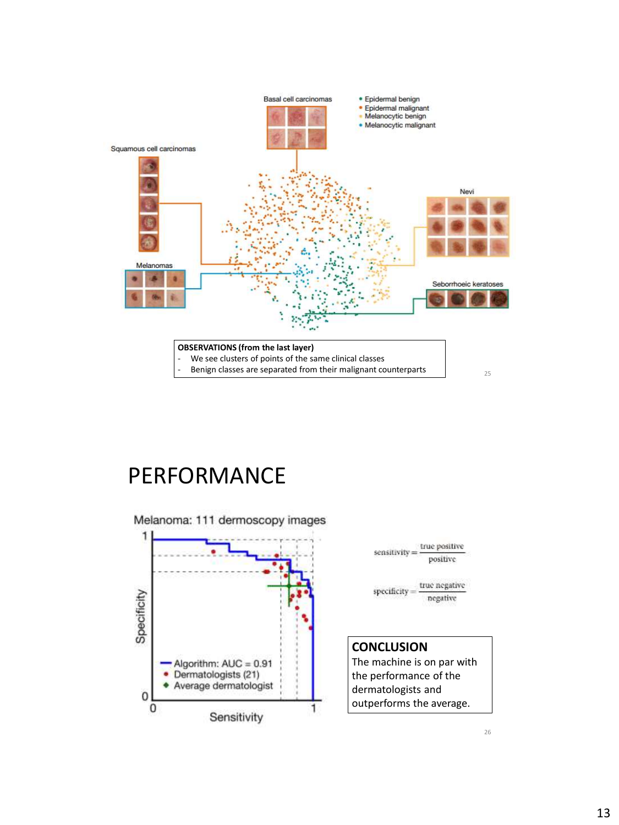

### PERFORMANCE



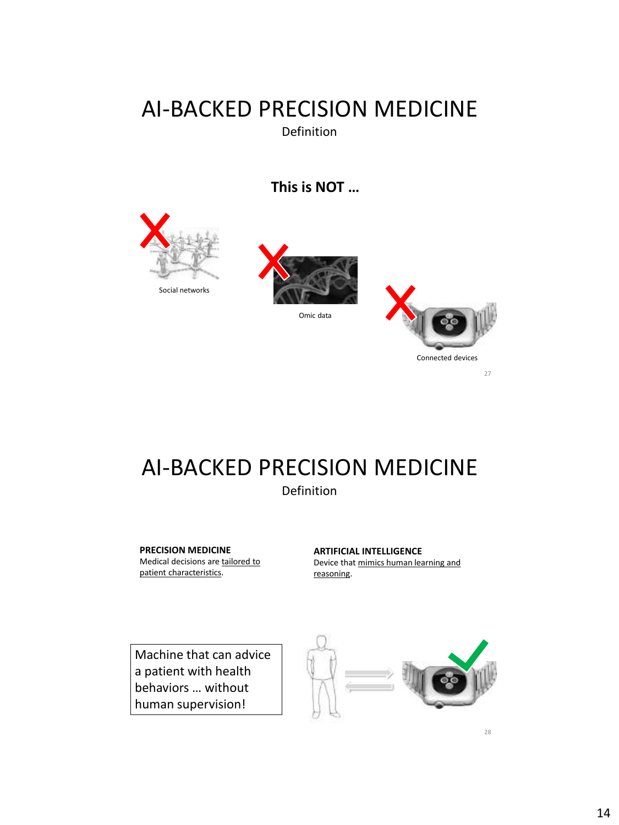### AI-BACKED PRECISION MEDICINE Definition

**This is NOT …**







# AI-BACKED PRECISION MEDICINE

#### Definition

**PRECISION MEDICINE** Medical decisions are tailored to patient characteristics.

**ARTIFICIAL INTELLIGENCE**  Device that mimics human learning and reasoning.

Machine that can advice a patient with health behaviors … without human supervision!

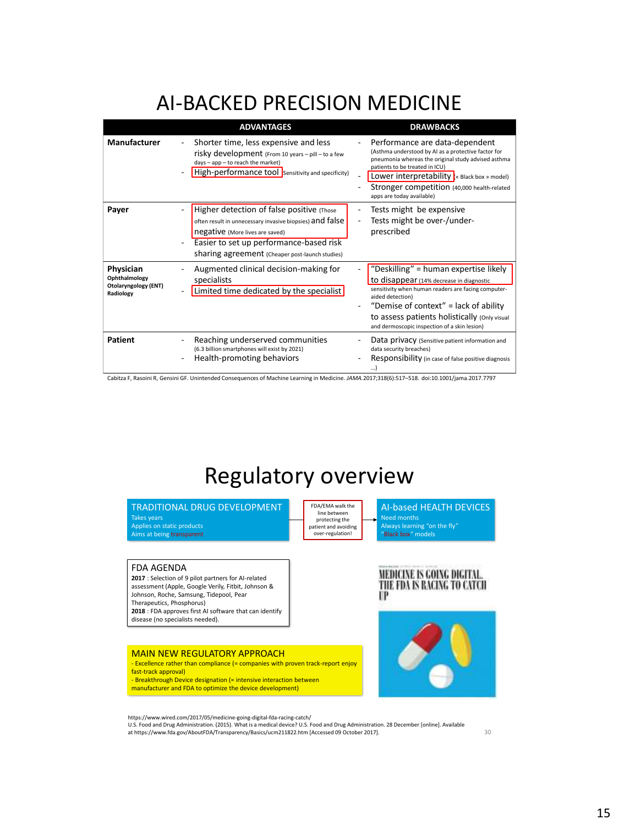### AI-BACKED PRECISION MEDICINE

|                                                                 | <b>ADVANTAGES</b>                                                                                                                                                                                                                      | <b>DRAWBACKS</b>                                                                                                                                                                                                                                                                                                     |
|-----------------------------------------------------------------|----------------------------------------------------------------------------------------------------------------------------------------------------------------------------------------------------------------------------------------|----------------------------------------------------------------------------------------------------------------------------------------------------------------------------------------------------------------------------------------------------------------------------------------------------------------------|
| <b>Manufacturer</b>                                             | Shorter time, less expensive and less<br>risky development (From 10 years - pill - to a few<br>days - app - to reach the market)<br>High-performance tool sensitivity and specificity)                                                 | Performance are data-dependent<br>(Asthma understood by AI as a protective factor for<br>pneumonia whereas the original study advised asthma<br>patients to be treated in ICU)<br>Lower interpretability $\mathbf{k}$ Black box » model)<br>Stronger competition (40,000 health-related<br>apps are today available) |
| Payer                                                           | Higher detection of false positive (Those<br>often result in unnecessary invasive biopsies) and false<br>negative (More lives are saved)<br>Easier to set up performance-based risk<br>sharing agreement (Cheaper post-launch studies) | Tests might be expensive<br>Tests might be over-/under-<br>prescribed                                                                                                                                                                                                                                                |
| Physician<br>Ophthalmology<br>Otolaryngology (ENT)<br>Radiology | Augmented clinical decision-making for<br>specialists<br>Limited time dedicated by the specialist                                                                                                                                      | "Deskilling" = human expertise likely<br>to disappear (14% decrease in diagnostic<br>sensitivity when human readers are facing computer-<br>aided detection)<br>"Demise of context" = lack of ability<br>to assess patients holistically (Only visual<br>and dermoscopic inspection of a skin lesion)                |
| <b>Patient</b>                                                  | Reaching underserved communities<br>(6.3 billion smartphones will exist by 2021)<br>Health-promoting behaviors                                                                                                                         | Data privacy (Sensitive patient information and<br>data security breaches)<br>Responsibility (in case of false positive diagnosis<br>)                                                                                                                                                                               |

Cabitza F, Rasoini R, Gensini GF. Unintended Consequences of Machine Learning in Medicine. *JAMA.*2017;318(6):517–518. doi:10.1001/jama.2017.7797

### Regulatory overview

TRADITIONAL DRUG DEVELOPMENT

Takes years Applies on static products ...<br>Aims at being transparent FDA/EMA walk the line between protecting the patient and avoiding over-regulation!

AI-based HEALTH DEVICES Always learning "on the fly"<br>"Black box" models

#### FDA AGENDA

**2017** : Selection of 9 pilot partners for AI-related assessment (Apple, Google Verily, Fitbit, Johnson & Johnson, Roche, Samsung, Tidepool, Pear Therapeutics, Phosphorus) **2018** : FDA approves first AI software that can identify disease (no specialists needed).

MAIN NEW REGULATORY APPROACH - Excellence rather than compliance (= companies with proven track-report enjoy fast-track approval) - Breakthrough Device designation (= intensive interaction between manufacturer and FDA to optimize the device development)

https://www.wired.com/2017/05/medicine-going-digital-fda-racing-catch/

U.S. Food and Drug Administration. (2015). What is a medical device? U.S. Food and Drug Administration. 28 December [online]. Available<br>at https://www.fda.gov/AboutFDA/Transparency/Basics/ucm211822.htm [Accessed 09 October



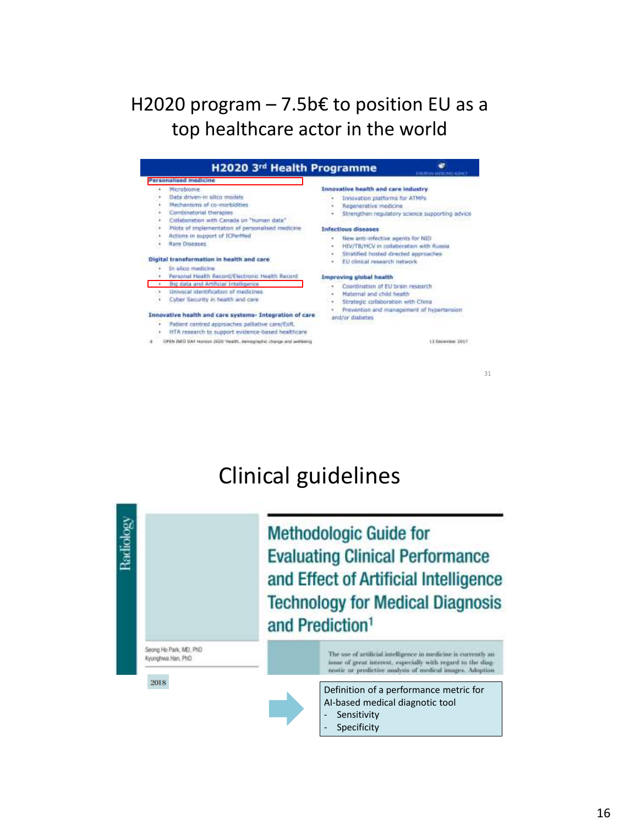### H2020 program  $-7.5b€$  to position EU as a top healthcare actor in the world

| H2020 3rd Health Programme                                                                                                                                                                                                                                                                                                                                                                                                                        | <b>ITHOUT AN ARREST ASSAULT</b>                                                                                                                                                                                                                                                                                                                                                                                                                    |  |  |  |
|---------------------------------------------------------------------------------------------------------------------------------------------------------------------------------------------------------------------------------------------------------------------------------------------------------------------------------------------------------------------------------------------------------------------------------------------------|----------------------------------------------------------------------------------------------------------------------------------------------------------------------------------------------------------------------------------------------------------------------------------------------------------------------------------------------------------------------------------------------------------------------------------------------------|--|--|--|
| Personalised medicine<br>Microbiome<br>Data driven-in silico models<br>Mechanisms of co-morbidities<br>Combinatorial therapies<br>Collaboration with Canada on "human data"<br>Pilots of implementation of personalised medicine<br>Actions in support of ICPerMed<br>Rare Diseases<br>Digital transformation in health and care<br>In alico medicinal<br>Personal Health Record/Electronic Health Racord<br>Big data and Artificial Intelligence | Innovative health and care industry<br><b>Ennovation platforms for ATMPs</b><br>Regenerative medicine<br>Strengthen regulatory science supporting advice<br><b>Infectious diseases</b><br>New anti-infective agents for NID.<br>٠<br>HIV/TB/HCV in collaboration with Runsia<br>$\mathbf{r}$<br>Stratified hosted directed approaches<br>. .<br>EU clinical research network<br>×<br>Improving global health<br>Coordination of EU brain research. |  |  |  |
| Univocal identification of medicines.<br>Cyber Sacurity in health and care                                                                                                                                                                                                                                                                                                                                                                        | Haternal and child health<br>٠<br>Strategic collaboration with China<br>٠                                                                                                                                                                                                                                                                                                                                                                          |  |  |  |
| Innovative health and care systems- Integration of care<br>Patient centred approaches pallative care/Egft.<br>HTA research to support evidence-based healthcare                                                                                                                                                                                                                                                                                   | Prevention and management of hypertension<br>and/or diabetes                                                                                                                                                                                                                                                                                                                                                                                       |  |  |  |
| OFEN INFO DAY Herman 2020 'Health, demagraphic change and wellseing.                                                                                                                                                                                                                                                                                                                                                                              | L1 December 2017                                                                                                                                                                                                                                                                                                                                                                                                                                   |  |  |  |

31

32

# Clinical guidelines

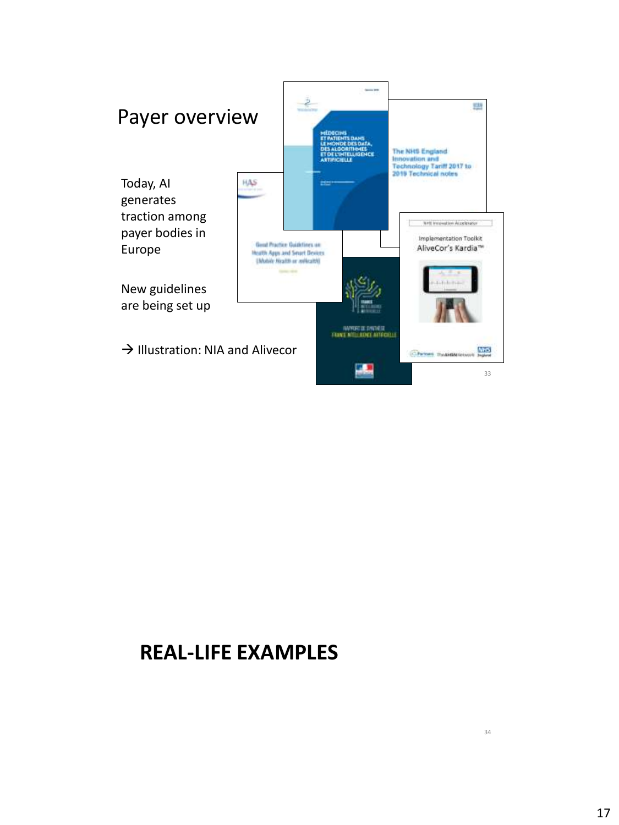

### **REAL-LIFE EXAMPLES**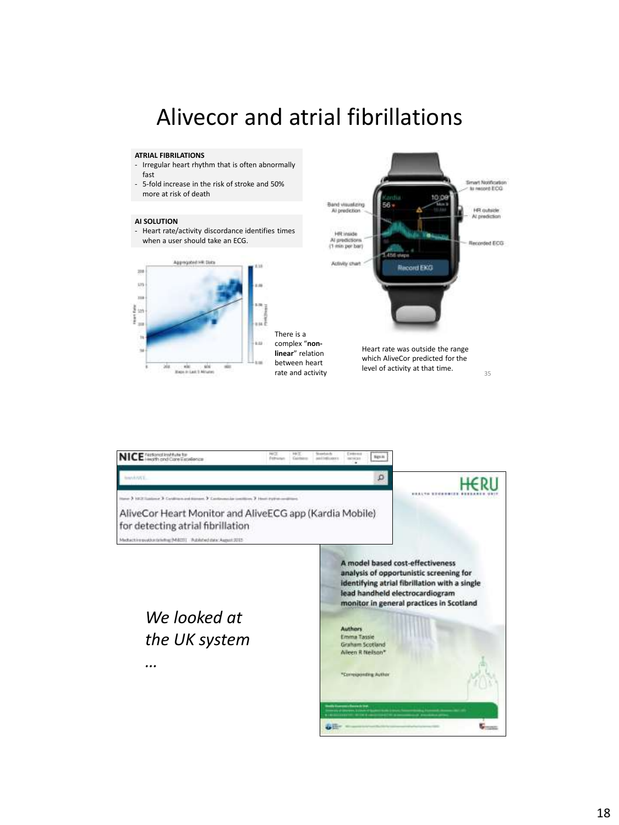### Alivecor and atrial fibrillations

#### **ATRIAL FIBRILATIONS**

- Irregular heart rhythm that is often abnormally fast
- 5-fold increase in the risk of stroke and 50% more at risk of death

#### **AI SOLUTION**

- Heart rate/activity discordance identifies times when a user should take an ECG.



There is a complex "**nonlinear**" relation between heart rate and activity



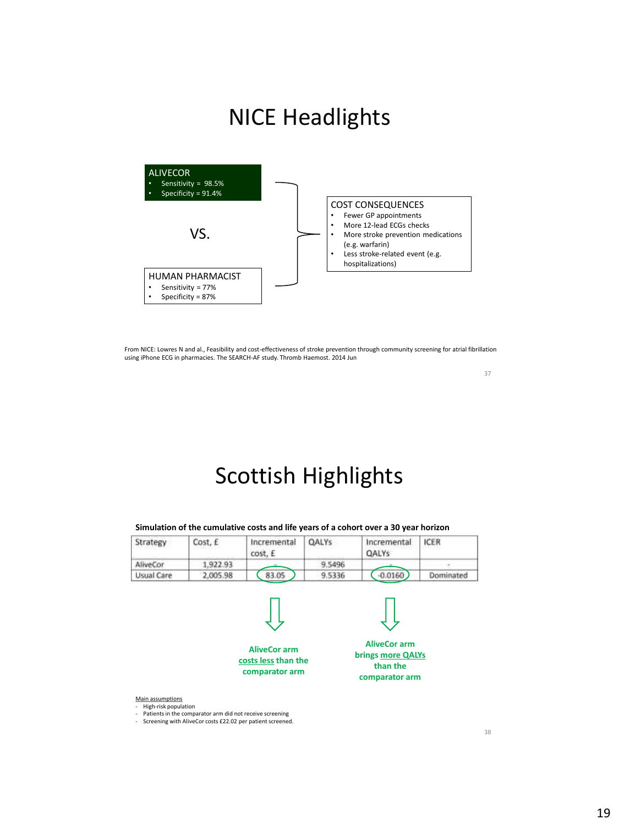### NICE Headlights



From NICE: Lowres N and al., Feasibility and cost-effectiveness of stroke prevention through community screening for atrial fibrillation using iPhone ECG in pharmacies. The SEARCH-AF study. Thromb Haemost. 2014 Jun

37

# Scottish Highlights

**Simulation of the cumulative costs and life years of a cohort over a 30 year horizon**

| Strategy          | Cost, £  | Incremental<br>cost. E | <b>OALYS</b> | Incremental<br><b>QALYS</b> | <b>ICER</b> |
|-------------------|----------|------------------------|--------------|-----------------------------|-------------|
| AliveCor          | .922.93  |                        | 9.5496       |                             |             |
| <b>Usual Care</b> | 2,005.98 | 83.05                  | 9.5336       | $-0.0160$                   | Dominated   |



Main assumptions

- High-risk population
- Patients in the comparator arm did not receive screening Screening with AliveCor costs £22.02 per patient screened.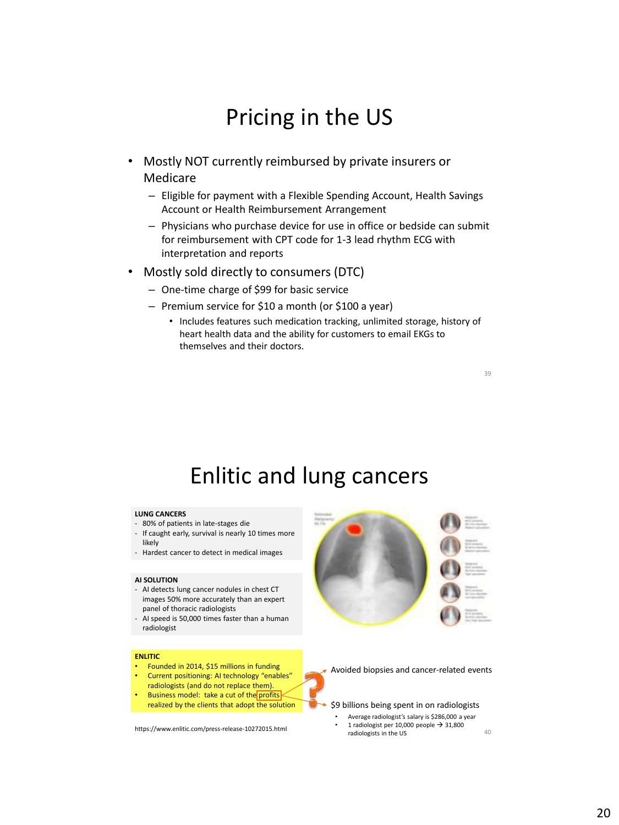### Pricing in the US

- Mostly NOT currently reimbursed by private insurers or Medicare
	- Eligible for payment with a Flexible Spending Account, Health Savings Account or Health Reimbursement Arrangement
	- Physicians who purchase device for use in office or bedside can submit for reimbursement with CPT code for 1-3 lead rhythm ECG with interpretation and reports
- Mostly sold directly to consumers (DTC)
	- One-time charge of \$99 for basic service
	- Premium service for \$10 a month (or \$100 a year)
		- Includes features such medication tracking, unlimited storage, history of heart health data and the ability for customers to email EKGs to themselves and their doctors.

39

### Enlitic and lung cancers

#### **LUNG CANCERS**

- 80% of patients in late-stages die
- If caught early, survival is nearly 10 times more likely
- Hardest cancer to detect in medical images

#### **AI SOLUTION**

- AI detects lung cancer nodules in chest CT images 50% more accurately than an expert panel of thoracic radiologists
- AI speed is 50,000 times faster than a human radiologist

#### **ENLITIC**

- Founded in 2014, \$15 millions in funding
- Current positioning: AI technology "enables" radiologists (and do not replace them).
- Business model: take a cut of the profits realized by the clients that adopt the solution

https://www.enlitic.com/press-release-10272015.html



Avoided biopsies and cancer-related events

\$9 billions being spent in on radiologists

• Average radiologist's salary is \$286,000 a year 1 radiologist per 10,000 people  $\rightarrow$  31,800 radiologists in the US 40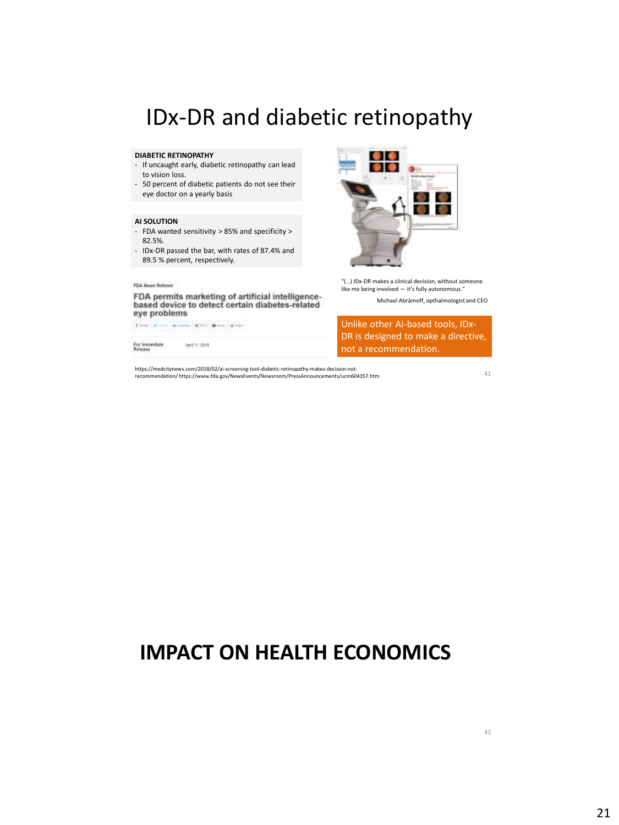### IDx-DR and diabetic retinopathy

#### **DIABETIC RETINOPATHY**

- If uncaught early, diabetic retinopathy can lead to vision loss.
- 50 percent of diabetic patients do not see their eye doctor on a yearly basis

#### **AI SOLUTION**

- FDA wanted sensitivity > 85% and specificity > 82.5%.
- IDx-DR passed the bar, with rates of 87.4% and 89.5 % percent, respectively.

#### FOA News Release

FDA permits marketing of artificial intelligencebased device to detect certain diabetes-related eye problems

From [ # toll ] Months [ # toll ] # for ] # for

April 11, 2218

For immediate<br>Release



"(…) IDx-DR makes a clinical decision, without someone like me being involved — it's fully autonomous."

Michael Abràmoff, opthalmologist and CEO

Unlike other AI-based tools, IDx-DR is designed to make a directive, not a recommendation.

https://medcitynews.com/2018/02/ai-screening-tool-diabetic-retinopathy-makes-decision-notrecommendation/ https://www.fda.gov/NewsEvents/Newsroom/PressAnnouncements/ucm604357.htm

41

### **IMPACT ON HEALTH ECONOMICS**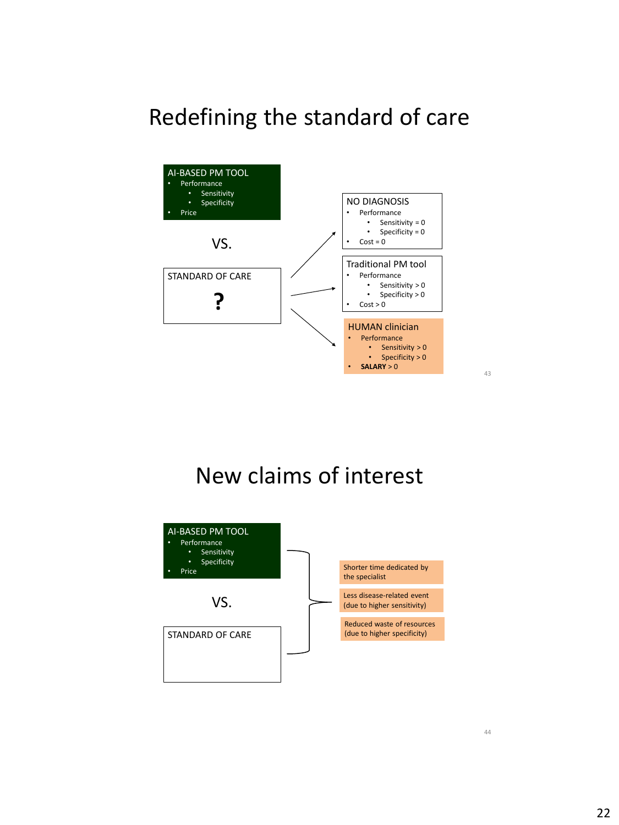### Redefining the standard of care



43

# New claims of interest

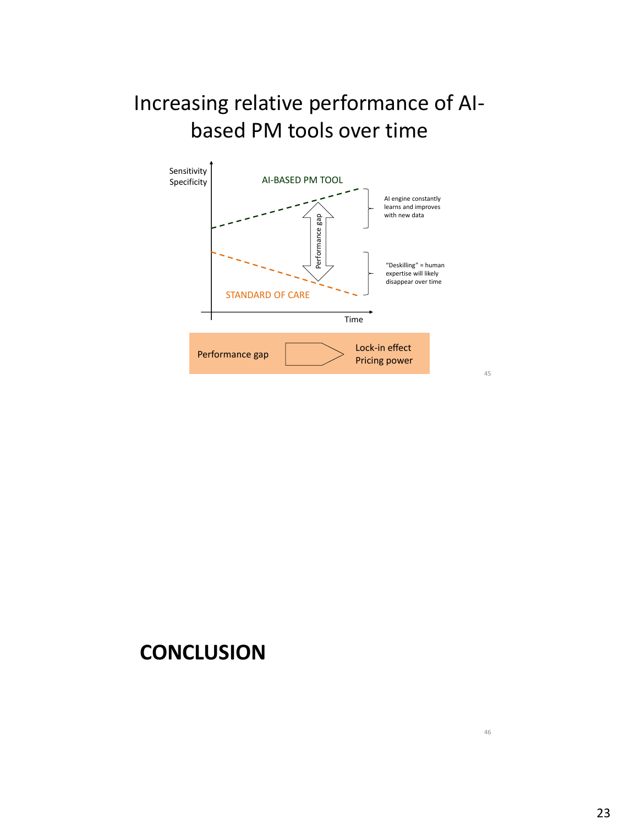### Increasing relative performance of AIbased PM tools over time



45

### **CONCLUSION**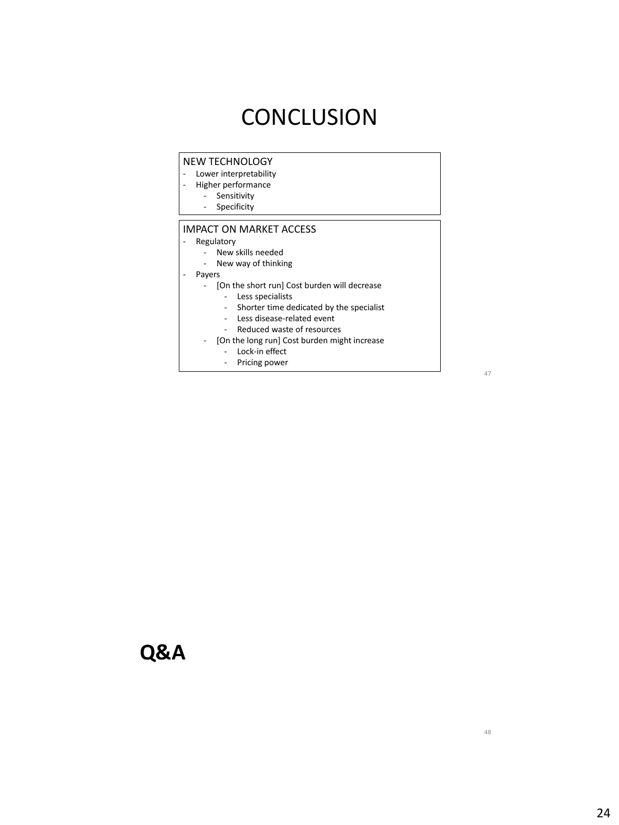### **CONCLUSION**

#### NEW TECHNOLOGY

- Lower interpretability<br>- Higher performance
- Higher performance
	- Sensitivity - Specificity

#### IMPACT ON MARKET ACCESS

- Regulatory
	- New skills needed
	- New way of thinking
- Payers
	- [On the short run] Cost burden will decrease
		- Less specialists
		- Shorter time dedicated by the specialist
		- Less disease-related event
		- Reduced waste of resources
	- [On the long run] Cost burden might increase
		- Lock-in effect
		- Pricing power

47

### **Q&A**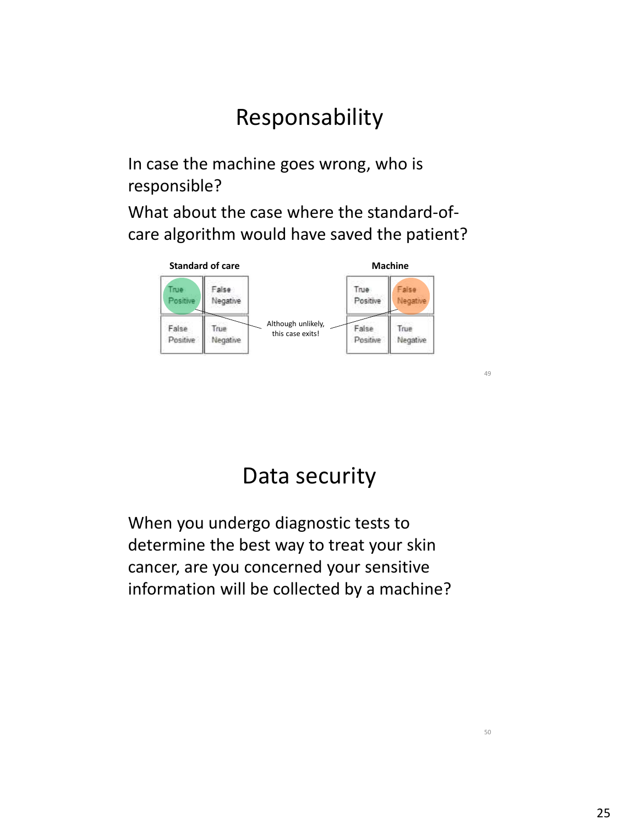# Responsability

In case the machine goes wrong, who is responsible?

What about the case where the standard-ofcare algorithm would have saved the patient?



### Data security

When you undergo diagnostic tests to determine the best way to treat your skin cancer, are you concerned your sensitive information will be collected by a machine?  $\Lambda$ 9